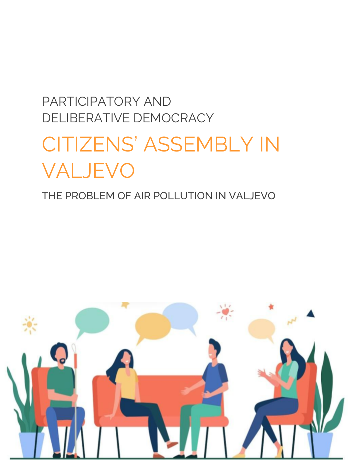# PARTICIPATORY AND DELIBERATIVE DEMOCRACY CITIZENS' ASSEMBLY IN VALJEVO

## THE PROBLEM OF AIR POLLUTION IN VALJEVO

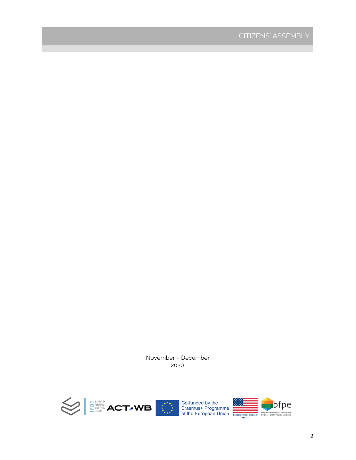November – December 2020

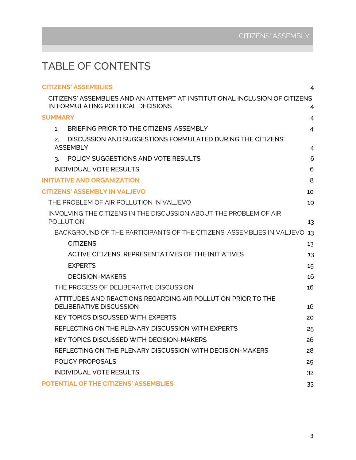## TABLE OF CONTENTS

| <b>CITIZENS' ASSEMBLIES</b>                                                                                      | 4  |
|------------------------------------------------------------------------------------------------------------------|----|
| CITIZENS' ASSEMBLIES AND AN ATTEMPT AT INSTITUTIONAL INCLUSION OF CITIZENS<br>IN FORMULATING POLITICAL DECISIONS | 4  |
| <b>SUMMARY</b>                                                                                                   | 4  |
| BRIEFING PRIOR TO THE CITIZENS' ASSEMBLY<br>1.                                                                   | 4  |
| DISCUSSION AND SUGGESTIONS FORMULATED DURING THE CITIZENS'<br>2.<br><b>ASSEMBLY</b>                              | 4  |
| POLICY SUGGESTIONS AND VOTE RESULTS<br>3.                                                                        | 6  |
| <b>INDIVIDUAL VOTE RESULTS</b>                                                                                   | 6  |
| <b>INITIATIVE AND ORGANIZATION</b>                                                                               | 8  |
| <b>CITIZENS' ASSEMBLY IN VALJEVO</b>                                                                             | 10 |
| THE PROBLEM OF AIR POLLUTION IN VALJEVO                                                                          | 10 |
| INVOLVING THE CITIZENS IN THE DISCUSSION ABOUT THE PROBLEM OF AIR<br><b>POLLUTION</b>                            | 13 |
| BACKGROUND OF THE PARTICIPANTS OF THE CITIZENS' ASSEMBLIES IN VALJEVO                                            | 13 |
| <b>CITIZENS</b>                                                                                                  | 13 |
| ACTIVE CITIZENS, REPRESENTATIVES OF THE INITIATIVES                                                              | 13 |
| <b>EXPERTS</b>                                                                                                   | 15 |
| <b>DECISION-MAKERS</b>                                                                                           | 16 |
| THE PROCESS OF DELIBERATIVE DISCUSSION                                                                           | 16 |
| ATTITUDES AND REACTIONS REGARDING AIR POLLUTION PRIOR TO THE<br><b>DELIBERATIVE DISCUSSION</b>                   | 16 |
| <b>KEY TOPICS DISCUSSED WITH EXPERTS</b>                                                                         | 20 |
| REFLECTING ON THE PLENARY DISCUSSION WITH EXPERTS                                                                | 25 |
| <b>KEY TOPICS DISCUSSED WITH DECISION-MAKERS</b>                                                                 | 26 |
| REFLECTING ON THE PLENARY DISCUSSION WITH DECISION-MAKERS                                                        | 28 |
| POLICY PROPOSALS                                                                                                 | 29 |
| <b>INDIVIDUAL VOTE RESULTS</b>                                                                                   | 32 |
| POTENTIAL OF THE CITIZENS' ASSEMBLIES                                                                            | 33 |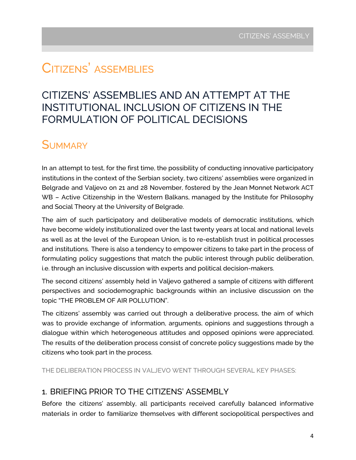# CITIZENS' ASSEMBLIES

## CITIZENS' ASSEMBLIES AND AN ATTEMPT AT THE INSTITUTIONAL INCLUSION OF CITIZENS IN THE FORMULATION OF POLITICAL DECISIONS

## **SUMMARY**

In an attempt to test, for the first time, the possibility of conducting innovative participatory institutions in the context of the Serbian society, two citizens' assemblies were organized in Belgrade and Valjevo on 21 and 28 November, fostered by the Jean Monnet Network ACT WB – Active Citizenship in the Western Balkans, managed by the Institute for Philosophy and Social Theory at the University of Belgrade.

The aim of such participatory and deliberative models of democratic institutions, which have become widely institutionalized over the last twenty years at local and national levels as well as at the level of the European Union, is to re-establish trust in political processes and institutions. There is also a tendency to empower citizens to take part in the process of formulating policy suggestions that match the public interest through public deliberation, i.e. through an inclusive discussion with experts and political decision-makers.

The second citizens' assembly held in Valjevo gathered a sample of citizens with different perspectives and sociodemographic backgrounds within an inclusive discussion on the topic "THE PROBLEM OF AIR POLLUTION".

The citizens' assembly was carried out through a deliberative process, the aim of which was to provide exchange of information, arguments, opinions and suggestions through a dialogue within which heterogeneous attitudes and opposed opinions were appreciated. The results of the deliberation process consist of concrete policy suggestions made by the citizens who took part in the process.

<span id="page-3-0"></span>THE DELIBERATION PROCESS IN VALJEVO WENT THROUGH SEVERAL KEY PHASES:

#### <span id="page-3-1"></span>1. BRIEFING PRIOR TO THE CITIZENS' ASSEMBLY

Before the citizens' assembly, all participants received carefully balanced informative materials in order to familiarize themselves with different sociopolitical perspectives and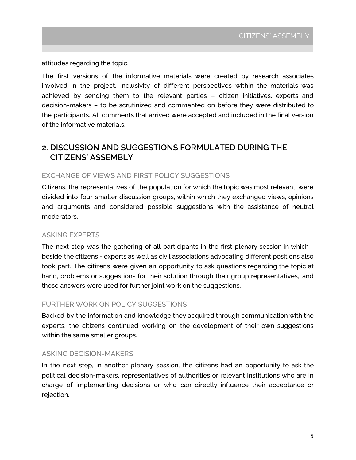attitudes regarding the topic.

The first versions of the informative materials were created by research associates involved in the project. Inclusivity of different perspectives within the materials was achieved by sending them to the relevant parties – citizen initiatives, experts and decision-makers – to be scrutinized and commented on before they were distributed to the participants. All comments that arrived were accepted and included in the final version of the informative materials.

#### **2. DISCUSSION AND SUGGESTIONS FORMULATED DURING THE CITIZENS' ASSEMBLY**

#### EXCHANGE OF VIEWS AND FIRST POLICY SUGGESTIONS

Citizens, the representatives of the population for which the topic was most relevant, were divided into four smaller discussion groups, within which they exchanged views, opinions and arguments and considered possible suggestions with the assistance of neutral moderators.

#### ASKING EXPERTS

The next step was the gathering of all participants in the first plenary session in which beside the citizens - experts as well as civil associations advocating different positions also took part. The citizens were given an opportunity to ask questions regarding the topic at hand, problems or suggestions for their solution through their group representatives, and those answers were used for further joint work on the suggestions.

#### FURTHER WORK ON POLICY SUGGESTIONS

Backed by the information and knowledge they acquired through communication with the experts, the citizens continued working on the development of their own suggestions within the same smaller groups.

#### ASKING DECISION-MAKERS

In the next step, in another plenary session, the citizens had an opportunity to ask the political decision-makers, representatives of authorities or relevant institutions who are in charge of implementing decisions or who can directly influence their acceptance or rejection.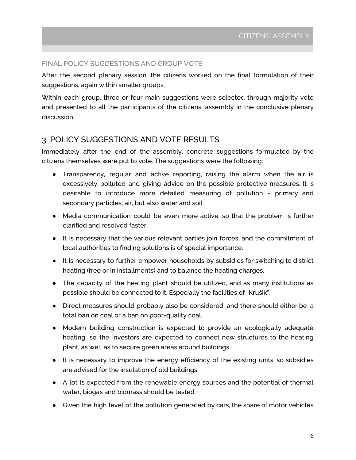#### <span id="page-5-0"></span>FINAL POLICY SUGGESTIONS AND GROUP VOTE

After the second plenary session, the citizens worked on the final formulation of their suggestions, again within smaller groups.

Within each group, three or four main suggestions were selected through majority vote and presented to all the participants of the citizens' assembly in the conclusive plenary discussion.

#### 3. POLICY SUGGESTIONS AND VOTE RESULTS

Immediately after the end of the assembly, concrete suggestions formulated by the citizens themselves were put to vote. The suggestions were the following:

- Transparency, regular and active reporting, raising the alarm when the air is excessively polluted and giving advice on the possible protective measures. It is desirable to introduce more detailed measuring of pollution - primary and secondary particles, air, but also water and soil.
- Media communication could be even more active, so that the problem is further clarified and resolved faster.
- It is necessary that the various relevant parties join forces, and the commitment of local authorities to finding solutions is of special importance.
- It is necessary to further empower households by subsidies for switching to district heating (free or in installments) and to balance the heating charges.
- The capacity of the heating plant should be utilized, and as many institutions as possible should be connected to it. Especially the facilities of "Krušik".
- Direct measures should probably also be considered, and there should either be a total ban on coal or a ban on poor-quality coal.
- Modern building construction is expected to provide an ecologically adequate heating, so the investors are expected to connect new structures to the heating plant, as well as to secure green areas around buildings.
- <span id="page-5-1"></span>● It is necessary to improve the energy efficiency of the existing units, so subsidies are advised for the insulation of old buildings.
- A lot is expected from the renewable energy sources and the potential of thermal water, biogas and biomass should be tested.
- Given the high level of the pollution generated by cars, the share of motor vehicles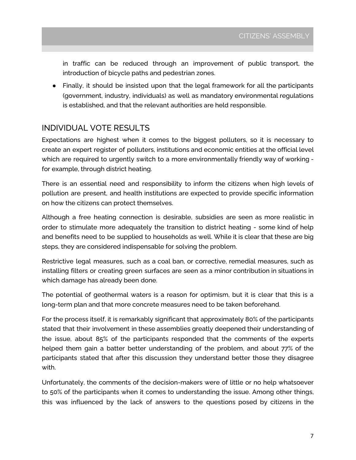in traffic can be reduced through an improvement of public transport, the introduction of bicycle paths and pedestrian zones.

● Finally, it should be insisted upon that the legal framework for all the participants (government, industry, individuals) as well as mandatory environmental regulations is established, and that the relevant authorities are held responsible.

#### INDIVIDUAL VOTE RESULTS

Expectations are highest when it comes to the biggest polluters, so it is necessary to create an expert register of polluters, institutions and economic entities at the official level which are required to urgently switch to a more environmentally friendly way of working for example, through district heating.

There is an essential need and responsibility to inform the citizens when high levels of pollution are present, and health institutions are expected to provide specific information on how the citizens can protect themselves.

Although a free heating connection is desirable, subsidies are seen as more realistic in order to stimulate more adequately the transition to district heating - some kind of help and benefits need to be supplied to households as well. While it is clear that these are big steps, they are considered indispensable for solving the problem.

Restrictive legal measures, such as a coal ban, or corrective, remedial measures, such as installing filters or creating green surfaces are seen as a minor contribution in situations in which damage has already been done.

The potential of geothermal waters is a reason for optimism, but it is clear that this is a long-term plan and that more concrete measures need to be taken beforehand.

For the process itself, it is remarkably significant that approximately 80% of the participants stated that their involvement in these assemblies greatly deepened their understanding of the issue, about 85% of the participants responded that the comments of the experts helped them gain a batter better understanding of the problem, and about 77% of the participants stated that after this discussion they understand better those they disagree with.

<span id="page-6-0"></span>Unfortunately, the comments of the decision-makers were of little or no help whatsoever to 50% of the participants when it comes to understanding the issue. Among other things, this was influenced by the lack of answers to the questions posed by citizens in the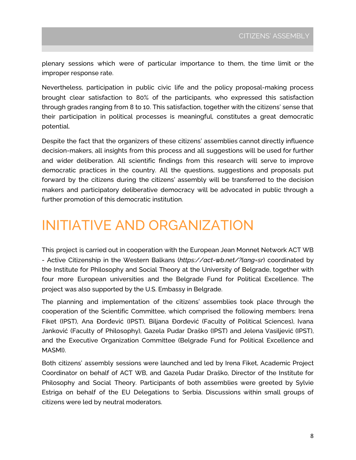plenary sessions which were of particular importance to them, the time limit or the improper response rate.

Nevertheless, participation in public civic life and the policy proposal-making process brought clear satisfaction to 80% of the participants, who expressed this satisfaction through grades ranging from 8 to 10. This satisfaction, together with the citizens' sense that their participation in political processes is meaningful, constitutes a great democratic potential.

Despite the fact that the organizers of these citizens' assemblies cannot directly influence decision-makers, all insights from this process and all suggestions will be used for further and wider deliberation. All scientific findings from this research will serve to improve democratic practices in the country. All the questions, suggestions and proposals put forward by the citizens during the citizens' assembly will be transferred to the decision makers and participatory deliberative democracy will be advocated in public through a further promotion of this democratic institution.

# INITIATIVE AND ORGANIZATION

This project is carried out in cooperation with the European Jean Monnet Network ACT WB - Active Citizenship in the Western Balkans (*https://act-wb.net/?lang=sr*) coordinated by the Institute for Philosophy and Social Theory at the University of Belgrade, together with four more European universities and the Belgrade Fund for Political Excellence. The project was also supported by the U.S. Embassy in Belgrade.

The planning and implementation of the citizens' assemblies took place through the cooperation of the Scientific Committee, which comprised the following members: Irena Fiket (IPST), Ana Đorđević (IPST), Biljana Đorđević (Faculty of Political Sciences), Ivana Janković (Faculty of Philosophy), Gazela Pudar Draško (IPST) and Jelena Vasiljević (IPST), and the Executive Organization Committee (Belgrade Fund for Political Excellence and MASMI).

Both citizens' assembly sessions were launched and led by Irena Fiket, Academic Project Coordinator on behalf of ACT WB, and Gazela Pudar Draško, Director of the Institute for Philosophy and Social Theory. Participants of both assemblies were greeted by Sylvie Estriga on behalf of the EU Delegations to Serbia. Discussions within small groups of citizens were led by neutral moderators.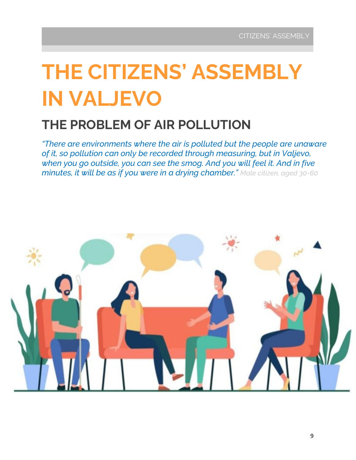# **THE CITIZENS' ASSEMBLY IN VALJEVO**

# **THE PROBLEM OF AIR POLLUTION**

*"There are environments where the air is polluted but the people are unaware of it, so pollution can only be recorded through measuring, but in Valjevo, when you go outside, you can see the smog. And you will feel it. And in five minutes, it will be as if you were in a drying chamber." Male citizen, aged 30-60*

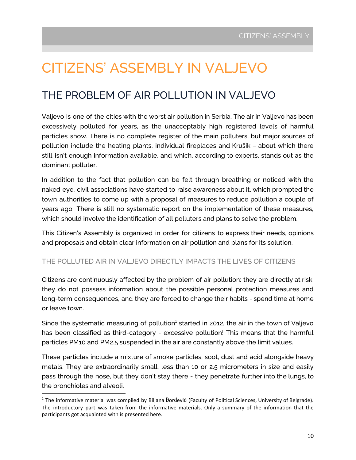# <span id="page-9-0"></span>CITIZENS' ASSEMBLY IN VALJEVO

## <span id="page-9-1"></span>THE PROBLEM OF AIR POLLUTION IN VALJEVO

Valjevo is one of the cities with the worst air pollution in Serbia. The air in Valjevo has been excessively polluted for years, as the unacceptably high registered levels of harmful particles show. There is no complete register of the main polluters, but major sources of pollution include the heating plants, individual fireplaces and Krušik – about which there still isn't enough information available, and which, according to experts, stands out as the dominant polluter.

In addition to the fact that pollution can be felt through breathing or noticed with the naked eye, civil associations have started to raise awareness about it, which prompted the town authorities to come up with a proposal of measures to reduce pollution a couple of years ago. There is still no systematic report on the implementation of these measures, which should involve the identification of all polluters and plans to solve the problem.

This Citizen's Assembly is organized in order for citizens to express their needs, opinions and proposals and obtain clear information on air pollution and plans for its solution.

#### THE POLLUTED AIR IN VALJEVO DIRECTLY IMPACTS THE LIVES OF CITIZENS

Citizens are continuously affected by the problem of air pollution: they are directly at risk, they do not possess information about the possible personal protection measures and long-term consequences, and they are forced to change their habits - spend time at home or leave town.

Since the systematic measuring of pollution<sup>1</sup> started in 2012, the air in the town of Valjevo has been classified as third-category - excessive pollution! This means that the harmful particles PM10 and PM2.5 suspended in the air are constantly above the limit values.

These particles include a mixture of smoke particles, soot, dust and acid alongside heavy metals. They are extraordinarily small, less than 10 or 2.5 micrometers in size and easily pass through the nose, but they don't stay there - they penetrate further into the lungs, to the bronchioles and alveoli.

 $1$  The informative material was compiled by Biljana Đorđević (Faculty of Political Sciences, University of Belgrade). The introductory part was taken from the informative materials. Only a summary of the information that the participants got acquainted with is presented here.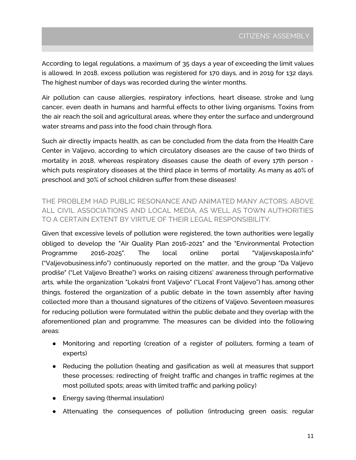According to legal regulations, a maximum of 35 days a year of exceeding the limit values is allowed. In 2018, excess pollution was registered for 170 days, and in 2019 for 132 days. The highest number of days was recorded during the winter months.

Air pollution can cause allergies, respiratory infections, heart disease, stroke and lung cancer, even death in humans and harmful effects to other living organisms. Toxins from the air reach the soil and agricultural areas, where they enter the surface and underground water streams and pass into the food chain through flora.

Such air directly impacts health, as can be concluded from the data from the Health Care Center in Valjevo, according to which circulatory diseases are the cause of two thirds of mortality in 2018, whereas respiratory diseases cause the death of every 17th person which puts respiratory diseases at the third place in terms of mortality. As many as 40% of preschool and 30% of school children suffer from these diseases!

THE PROBLEM HAD PUBLIC RESONANCE AND ANIMATED MANY ACTORS: ABOVE ALL CIVIL ASSOCIATIONS AND LOCAL MEDIA, AS WELL AS TOWN AUTHORITIES TO A CERTAIN EXTENT BY VIRTUE OF THEIR LEGAL RESPONSIBILITY.

Given that excessive levels of pollution were registered, the town authorities were legally obliged to develop the "Air Quality Plan 2016-2021" and the "Environmental Protection Programme 2016-2025". The local online portal "Valjevskaposla.info" ("Valjevobusiness.info") continuously reported on the matter, and the group "Da Valjevo prodiše" ("Let Valjevo Breathe") works on raising citizens' awareness through performative arts, while the organization "Lokalni front Valjevo" ("Local Front Valjevo") has, among other things, fostered the organization of a public debate in the town assembly after having collected more than a thousand signatures of the citizens of Valjevo. Seventeen measures for reducing pollution were formulated within the public debate and they overlap with the aforementioned plan and programme. The measures can be divided into the following areas:

- Monitoring and reporting (creation of a register of polluters, forming a team of experts)
- Reducing the pollution (heating and gasification as well at measures that support these processes; redirecting of freight traffic and changes in traffic regimes at the most polluted spots; areas with limited traffic and parking policy)
- Energy saving (thermal insulation)
- Attenuating the consequences of pollution (introducing green oasis; regular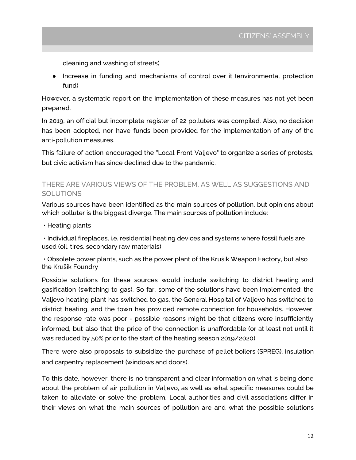cleaning and washing of streets)

● Increase in funding and mechanisms of control over it (environmental protection fund)

However, a systematic report on the implementation of these measures has not yet been prepared.

In 2019, an official but incomplete register of 22 polluters was compiled. Also, no decision has been adopted, nor have funds been provided for the implementation of any of the anti-pollution measures.

This failure of action encouraged the "Local Front Valjevo" to organize a series of protests, but civic activism has since declined due to the pandemic.

#### THERE ARE VARIOUS VIEWS OF THE PROBLEM, AS WELL AS SUGGESTIONS AND **SOLUTIONS**

Various sources have been identified as the main sources of pollution, but opinions about which polluter is the biggest diverge. The main sources of pollution include:

• Heating plants

• Individual fireplaces, i.e. residential heating devices and systems where fossil fuels are used (oil, tires, secondary raw materials)

• Obsolete power plants, such as the power plant of the Krušik Weapon Factory, but also the Krušik Foundry

Possible solutions for these sources would include switching to district heating and gasification (switching to gas). So far, some of the solutions have been implemented: the Valjevo heating plant has switched to gas, the General Hospital of Valjevo has switched to district heating, and the town has provided remote connection for households. However, the response rate was poor - possible reasons might be that citizens were insufficiently informed, but also that the price of the connection is unaffordable (or at least not until it was reduced by 50% prior to the start of the heating season 2019/2020).

There were also proposals to subsidize the purchase of pellet boilers (SPREG), insulation and carpentry replacement (windows and doors).

To this date, however, there is no transparent and clear information on what is being done about the problem of air pollution in Valjevo, as well as what specific measures could be taken to alleviate or solve the problem. Local authorities and civil associations differ in their views on what the main sources of pollution are and what the possible solutions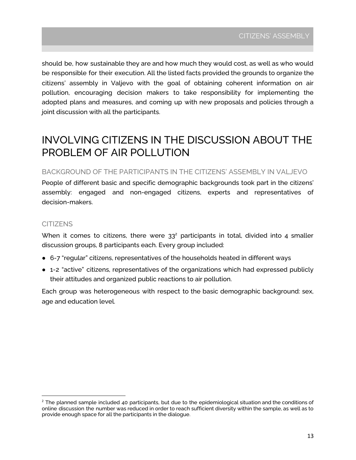should be, how sustainable they are and how much they would cost, as well as who would be responsible for their execution. All the listed facts provided the grounds to organize the citizens' assembly in Valjevo with the goal of obtaining coherent information on air pollution, encouraging decision makers to take responsibility for implementing the adopted plans and measures, and coming up with new proposals and policies through a joint discussion with all the participants.

## INVOLVING CITIZENS IN THE DISCUSSION ABOUT THE PROBLEM OF AIR POLLUTION

#### <span id="page-12-0"></span>BACKGROUND OF THE PARTICIPANTS IN THE CITIZENS' ASSEMBLY IN VALJEVO

<span id="page-12-1"></span>People of different basic and specific demographic backgrounds took part in the citizens' assembly: engaged and non-engaged citizens, experts and representatives of decision-makers.

#### **CITIZENS**

When it comes to citizens, there were  $33<sup>2</sup>$  participants in total, divided into 4 smaller discussion groups, 8 participants each. Every group included:

- 6-7 "regular" citizens, representatives of the households heated in different ways
- 1-2 "active" citizens, representatives of the organizations which had expressed publicly their attitudes and organized public reactions to air pollution.

Each group was heterogeneous with respect to the basic demographic background: sex, age and education level.

 $<sup>2</sup>$  The planned sample included 40 participants, but due to the epidemiological situation and the conditions of</sup> online discussion the number was reduced in order to reach sufficient diversity within the sample, as well as to provide enough space for all the participants in the dialogue.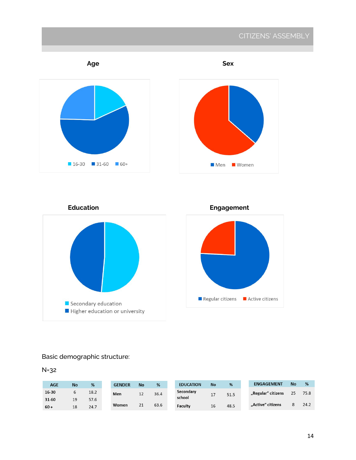### CITIZENS' ASSEMBLY





**Education Engagement**



#### Basic demographic structure:

N=32

| <b>AGE</b> | <b>No</b> | %    | <b>GENDER</b> | <b>No</b> | %    | <b>EDUCATION</b> | <b>No</b> | %    | <b>ENGAGEMENT</b>  | <b>No</b> | %    |
|------------|-----------|------|---------------|-----------|------|------------------|-----------|------|--------------------|-----------|------|
| 16-30      |           | 18.2 | Men           | 12        | 36.4 | Secondary        | 17        | 51.5 | "Regular" citizens | 25        | 75.8 |
| 31-60      | 19        | 57.6 |               |           |      | school           |           |      |                    |           |      |
| $60 +$     | 18        | 24.7 | Women         | 21        | 63.6 | Faculty          | 16        | 48.5 | "Active" citizens  |           | 24.2 |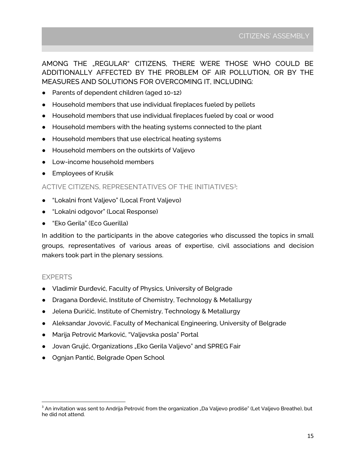AMONG THE "REGULAR" CITIZENS, THERE WERE THOSE WHO COULD BE ADDITIONALLY AFFECTED BY THE PROBLEM OF AIR POLLUTION, OR BY THE MEASURES AND SOLUTIONS FOR OVERCOMING IT, INCLUDING:

- Parents of dependent children (aged 10-12)
- Household members that use individual fireplaces fueled by pellets
- Household members that use individual fireplaces fueled by coal or wood
- Household members with the heating systems connected to the plant
- Household members that use electrical heating systems
- Household members on the outskirts of Valjevo
- Low-income household members
- Employees of Krušik

#### ACTIVE CITIZENS, REPRESENTATIVES OF THE INITIATIVES<sup>3</sup>:

- "Lokalni front Valjevo" (Local Front Valjevo)
- "Lokalni odgovor" (Local Response)
- "Eko Gerila" (Eco Guerilla)

In addition to the participants in the above categories who discussed the topics in small groups, representatives of various areas of expertise, civil associations and decision makers took part in the plenary sessions.

#### <span id="page-14-0"></span>EXPERTS

- Vladimir Đurđević, Faculty of Physics, University of Belgrade
- Dragana Đorđević, Institute of Chemistry, Technology & Metallurgy
- Jelena Đuričić, Institute of Chemistry, Technology & Metallurgy
- Aleksandar Jovović, Faculty of Mechanical Engineering, University of Belgrade
- Marija Petrović Marković, "Valjevska posla" Portal
- Jovan Grujić, Organizations "Eko Gerila Valjevo" and SPREG Fair
- Ognjan Pantić, Belgrade Open School

 $3$  An invitation was sent to Andrija Petrović from the organization "Da Valjevo prodiše" (Let Valjevo Breathe), but he did not attend.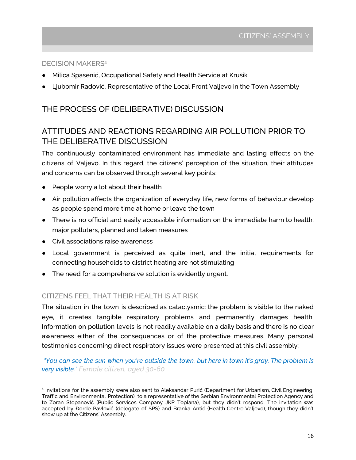#### <span id="page-15-0"></span>DECISION MAKERS<sup>4</sup>

- Milica Spasenić, Occupational Safety and Health Service at Krušik
- Ljubomir Radović, Representative of the Local Front Valjevo in the Town Assembly

#### THE PROCESS OF (DELIBERATIVE) DISCUSSION

#### ATTITUDES AND REACTIONS REGARDING AIR POLLUTION PRIOR TO THE DELIBERATIVE DISCUSSION

The continuously contaminated environment has immediate and lasting effects on the citizens of Valjevo. In this regard, the citizens' perception of the situation, their attitudes and concerns can be observed through several key points:

- People worry a lot about their health
- Air pollution affects the organization of everyday life, new forms of behaviour develop as people spend more time at home or leave the town
- There is no official and easily accessible information on the immediate harm to health, major polluters, planned and taken measures
- Civil associations raise awareness
- Local government is perceived as quite inert, and the initial requirements for connecting households to district heating are not stimulating
- The need for a comprehensive solution is evidently urgent.

#### CITIZENS FEEL THAT THEIR HEALTH IS AT RISK

The situation in the town is described as cataclysmic: the problem is visible to the naked eye, it creates tangible respiratory problems and permanently damages health. Information on pollution levels is not readily available on a daily basis and there is no clear awareness either of the consequences or of the protective measures. Many personal testimonies concerning direct respiratory issues were presented at this civil assembly:

"You can see the sun when you're outside the town, but here in town it's gray. The problem is *very visible." Female citizen, aged 30-60*

<sup>4</sup> Invitations for the assembly were also sent to Aleksandar Purić (Department for Urbanism, Civil Engineering, Traffic and Environmental Protection), to a representative of the Serbian Environmental Protection Agency and to Zoran Stepanović (Public Services Company JKP Toplana), but they didn't respond. The invitation was accepted by Đorđe Pavlović (delegate of SPS) and Branka Antić (Health Centre Valjevo), though they didn't show up at the Citizens' Assembly.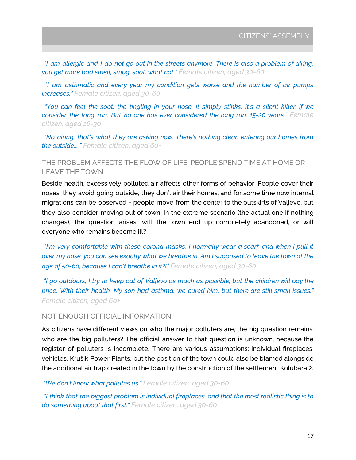"I am allergic and I do not go out in the streets anymore. There is also a problem of airing, *you get more bad smell, smog, soot, what not." Female citizen, aged 30-60*

*"I am asthmatic and every year my condition gets worse and the number of air pumps increases." Female citizen, aged 30-60*

"You can feel the soot, the tingling in your nose. It simply stinks. It's a silent killer, if we *consider the long run. But no one has ever considered the long run, 15-20 years." Female citizen, aged 16-30*

*"No airing, that's what they are asking now. There's nothing clean entering our homes from the outside... " Female citizen, aged 60+*

#### THE PROBLEM AFFECTS THE FLOW OF LIFE: PEOPLE SPEND TIME AT HOME OR LEAVE THE TOWN

Beside health, excessively polluted air affects other forms of behavior. People cover their noses, they avoid going outside, they don't air their homes, and for some time now internal migrations can be observed - people move from the center to the outskirts of Valjevo, but they also consider moving out of town. In the extreme scenario (the actual one if nothing changes), the question arises: will the town end up completely abandoned, or will everyone who remains become ill?

*"I'm very comfortable with these corona masks. I normally wear a scarf, and when I pull it* over my nose, you can see exactly what we breathe in. Am I supposed to leave the town at the *age of 50-60, because I can't breathe in it?!" Female citizen, aged 30-60*

"I go outdoors, I try to keep out of Valjevo as much as possible, but the children will pay the *price. With their health. My son had asthma, we cured him, but there are still small issues." Female citizen, aged 60+*

#### NOT ENOUGH OFFICIAL INFORMATION

As citizens have different views on who the major polluters are, the big question remains: who are the big polluters? The official answer to that question is unknown, because the register of polluters is incomplete. There are various assumptions: individual fireplaces, vehicles, Krušik Power Plants, but the position of the town could also be blamed alongside the additional air trap created in the town by the construction of the settlement Kolubara 2.

*"We don't know what pollutes us." Female citizen, aged 30-60*

*"I think that the biggest problem is individual fireplaces, and that the most realistic thing is to do something about that first." Female citizen, aged 30-60*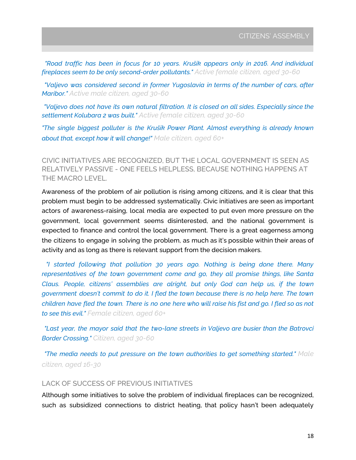*"Road traffic has been in focus for 10 years. Krušik appears only in 2016. And individual fireplaces seem to be only second-order pollutants." Active female citizen, aged 30-60*

*"Valjevo was considered second in former Yugoslavia in terms of the number of cars, after Maribor." Active male citizen, aged 30-60*

*"Valjevo does not have its own natural filtration. It is closed on all sides. Especially since the settlement Kolubara 2 was built." Active female citizen, aged 30-60*

*"The single biggest polluter is the Krušik Power Plant. Almost everything is already known about that, except how it will change!" Male citizen, aged 60+*

CIVIC INITIATIVES ARE RECOGNIZED, BUT THE LOCAL GOVERNMENT IS SEEN AS RELATIVELY PASSIVE - ONE FEELS HELPLESS, BECAUSE NOTHING HAPPENS AT THE MACRO LEVEL.

Awareness of the problem of air pollution is rising among citizens, and it is clear that this problem must begin to be addressed systematically. Civic initiatives are seen as important actors of awareness-raising, local media are expected to put even more pressure on the government, local government seems disinterested, and the national government is expected to finance and control the local government. There is a great eagerness among the citizens to engage in solving the problem, as much as it's possible within their areas of activity and as long as there is relevant support from the decision makers.

*"I started following that pollution 30 years ago. Nothing is being done there. Many representatives of the town government come and go, they all promise things, like Santa Claus. People, citizens' assemblies are alright, but only God can help us, if the town government doesn't commit to do it. I fled the town because there is no help here. The town* children have fled the town. There is no one here who will raise his fist and go. I fled so as not *to see this evil." Female citizen, aged 60+*

*"Last year, the mayor said that the two-lane streets in Valjevo are busier than the Batrovci Border Crossing." Citizen, aged 30-60*

*"The media needs to put pressure on the town authorities to get something started." Male citizen, aged 16-30*

#### LACK OF SUCCESS OF PREVIOUS INITIATIVES

Although some initiatives to solve the problem of individual fireplaces can be recognized, such as subsidized connections to district heating, that policy hasn't been adequately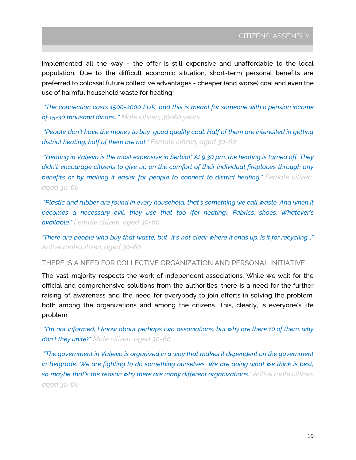implemented all the way - the offer is still expensive and unaffordable to the local population. Due to the difficult economic situation, short-term personal benefits are preferred to colossal future collective advantages - cheaper (and worse) coal and even the use of harmful household waste for heating!

*"The connection costs 1500-2000 EUR, and this is meant for someone with a pension income of 15-30 thousand dinars..." Male citizen, 30-60 years*

*"People don't have the money to buy good quality coal. Half of them are interested in getting district heating, half of them are not." Female citizen, aged 30-60*

*"Heating in Valjevo is the most expensive in Serbia!" At 9.30 pm, the heating is turned off. They didn't encourage citizens to give up on the comfort of their individual fireplaces through any benefits or by making it easier for people to connect to district heating." Female citizen, aged 30-60*

*"Plastic and rubber are found in every household, that's something we call waste. And when it becomes a necessary evil, they use that too (for heating). Fabrics, shoes. Whatever's available." Female citizen, aged 30-60*

"There are people who buy that waste, but it's not clear where it ends up. Is it for recycling..." *Active male citizen, aged 30-60*

#### THERE IS A NEED FOR COLLECTIVE ORGANIZATION AND PERSONAL INITIATIVE

The vast majority respects the work of independent associations. While we wait for the official and comprehensive solutions from the authorities, there is a need for the further raising of awareness and the need for everybody to join efforts in solving the problem, both among the organizations and among the citizens. This, clearly, is everyone's life problem.

*"I'm not informed, I know about perhaps two associations, but why are there 10 of them, why don't they unite?" Male citizen, aged 30-60*

*"The government in Valjevo is organized in a way that makes it dependent on the government in Belgrade. We are fighting to do something ourselves. We are doing what we think is best, so maybe that's the reason why there are many different organizations." Active male citizen, aged 30-60*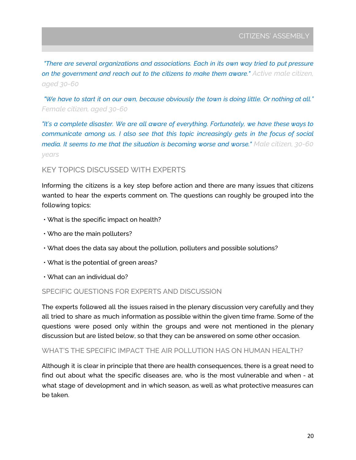*"There are several organizations and associations. Each in its own way tried to put pressure on the government and reach out to the citizens to make them aware." Active male citizen, aged 30-60*

"We have to start it on our own, because obviously the town is doing little. Or nothing at all." *Female citizen, aged 30-60*

*"It's a complete disaster. We are all aware of everything. Fortunately, we have these ways to communicate among us. I also see that this topic increasingly gets in the focus of social media. It seems to me that the situation is becoming worse and worse." Male citizen, 30-60 years*

#### KEY TOPICS DISCUSSED WITH EXPERTS

Informing the citizens is a key step before action and there are many issues that citizens wanted to hear the experts comment on. The questions can roughly be grouped into the following topics:

- What is the specific impact on health?
- Who are the main polluters?
- What does the data say about the pollution, polluters and possible solutions?
- What is the potential of green areas?
- What can an individual do?

#### SPECIFIC QUESTIONS FOR EXPERTS AND DISCUSSION

The experts followed all the issues raised in the plenary discussion very carefully and they all tried to share as much information as possible within the given time frame. Some of the questions were posed only within the groups and were not mentioned in the plenary discussion but are listed below, so that they can be answered on some other occasion.

#### WHAT'S THE SPECIFIC IMPACT THE AIR POLLUTION HAS ON HUMAN HEALTH?

Although it is clear in principle that there are health consequences, there is a great need to find out about what the specific diseases are, who is the most vulnerable and when - at what stage of development and in which season, as well as what protective measures can be taken.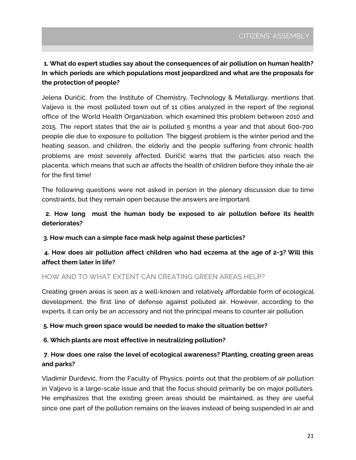#### **1. What do expert studies say about the consequences of air pollution on human health? In which periods are which populations most jeopardized and what are the proposals for the protection of people?**

Jelena Đuričić, from the Institute of Chemistry, Technology & Metallurgy, mentions that Valjevo is the most polluted town out of 11 cities analyzed in the report of the regional office of the World Health Organization, which examined this problem between 2010 and 2015. The report states that the air is polluted 5 months a year and that about 600-700 people die due to exposure to pollution. The biggest problem is the winter period and the heating season, and children, the elderly and the people suffering from chronic health problems are most severely affected. Đuričić warns that the particles also reach the placenta, which means that such air affects the health of children before they inhale the air for the first time!

The following questions were not asked in person in the plenary discussion due to time constraints, but they remain open because the answers are important.

#### **2. How long must the human body be exposed to air pollution before its health deteriorates?**

**3. How much can a simple face mask help against these particles?**

#### **4. How does air pollution affect children who had eczema at the age of 2-3? Will this affect them later in life?**

#### HOW AND TO WHAT EXTENT CAN CREATING GREEN AREAS HELP?

Creating green areas is seen as a well-known and relatively affordable form of ecological development, the first line of defense against polluted air. However, according to the experts, it can only be an accessory and not the principal means to counter air pollution.

#### **5. How much green space would be needed to make the situation better?**

#### **6. Which plants are most effective in neutralizing pollution?**

#### **7. How does one raise the level of ecological awareness? Planting, creating green areas and parks?**

Vladimir Đurđević, from the Faculty of Physics, points out that the problem of air pollution in Valjevo is a large-scale issue and that the focus should primarily be on major polluters. He emphasizes that the existing green areas should be maintained, as they are useful since one part of the pollution remains on the leaves instead of being suspended in air and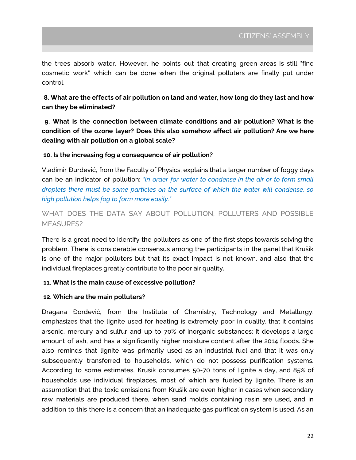the trees absorb water. However, he points out that creating green areas is still "fine cosmetic work" which can be done when the original polluters are finally put under control.

**8. What are the effects of air pollution on land and water, how long do they last and how can they be eliminated?**

**9. What is the connection between climate conditions and air pollution? What is the condition of the ozone layer? Does this also somehow affect air pollution? Are we here dealing with air pollution on a global scale?**

#### **10. Is the increasing fog a consequence of air pollution?**

Vladimir Đurđević, from the Faculty of Physics, explains that a larger number of foggy days can be an indicator of pollution: *"In order for water to condense in the air or to form small droplets there must be some particles on the surface of which the water will condense, so high pollution helps fog to form more easily."*

WHAT DOES THE DATA SAY ABOUT POLLUTION, POLLUTERS AND POSSIBLE MEASURES?

There is a great need to identify the polluters as one of the first steps towards solving the problem. There is considerable consensus among the participants in the panel that Krušik is one of the major polluters but that its exact impact is not known, and also that the individual fireplaces greatly contribute to the poor air quality.

#### **11. What is the main cause of excessive pollution?**

#### **12. Which are the main polluters?**

Dragana Đorđević, from the Institute of Chemistry, Technology and Metallurgy, emphasizes that the lignite used for heating is extremely poor in quality, that it contains arsenic, mercury and sulfur and up to 70% of inorganic substances; it develops a large amount of ash, and has a significantly higher moisture content after the 2014 floods. She also reminds that lignite was primarily used as an industrial fuel and that it was only subsequently transferred to households, which do not possess purification systems. According to some estimates, Krušik consumes 50-70 tons of lignite a day, and 85% of households use individual fireplaces, most of which are fueled by lignite. There is an assumption that the toxic emissions from Krušik are even higher in cases when secondary raw materials are produced there, when sand molds containing resin are used, and in addition to this there is a concern that an inadequate gas purification system is used. As an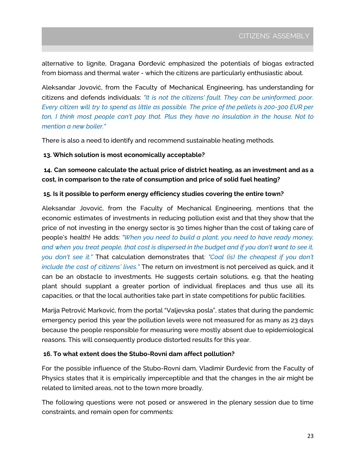alternative to lignite, Dragana Đorđević emphasized the potentials of biogas extracted from biomass and thermal water - which the citizens are particularly enthusiastic about.

Aleksandar Jovović, from the Faculty of Mechanical Engineering, has understanding for citizens and defends individuals: *"It is not the citizens' fault. They can be uninformed, poor.* Every citizen will try to spend as little as possible. The price of the pellets is 200-300 EUR per *ton, I think most people can't pay that. Plus they have no insulation in the house. Not to mention a new boiler."*

There is also a need to identify and recommend sustainable heating methods.

#### **13. Which solution is most economically acceptable?**

**14. Can someone calculate the actual price of district heating, as an investment and as a cost, in comparison to the rate of consumption and price of solid fuel heating?**

#### **15. Is it possible to perform energy efficiency studies covering the entire town?**

Aleksandar Jovović, from the Faculty of Mechanical Engineering, mentions that the economic estimates of investments in reducing pollution exist and that they show that the price of not investing in the energy sector is 30 times higher than the cost of taking care of people's health! He adds: *"When you need to build a plant, you need to have ready money,* and when you treat people, that cost is dispersed in the budget and if you don't want to see it, *you don't see it."* That calculation demonstrates that*: "Coal (is) the cheapest if you don't include the cost of citizens' lives."* The return on investment is not perceived as quick, and it can be an obstacle to investments. He suggests certain solutions, e.g. that the heating plant should supplant a greater portion of individual fireplaces and thus use all its capacities, or that the local authorities take part in state competitions for public facilities.

Marija Petrović Marković, from the portal "Valjevska posla", states that during the pandemic emergency period this year the pollution levels were not measured for as many as 23 days because the people responsible for measuring were mostly absent due to epidemiological reasons. This will consequently produce distorted results for this year.

#### **16. To what extent does the Stubo-Rovni dam affect pollution?**

For the possible influence of the Stubo-Rovni dam, Vladimir Đurđević from the Faculty of Physics states that it is empirically imperceptible and that the changes in the air might be related to limited areas, not to the town more broadly.

The following questions were not posed or answered in the plenary session due to time constraints, and remain open for comments: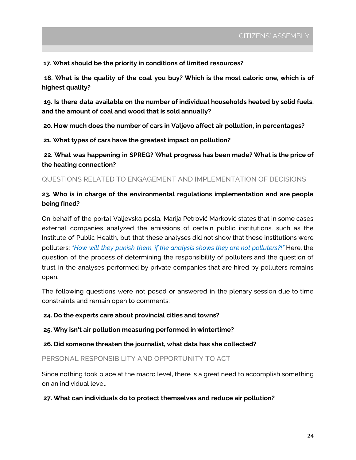**17. What should be the priority in conditions of limited resources?**

**18. What is the quality of the coal you buy? Which is the most caloric one, which is of highest quality?**

**19. Is there data available on the number of individual households heated by solid fuels, and the amount of coal and wood that is sold annually?**

**20. How much does the number of cars in Valjevo affect air pollution, in percentages?**

**21. What types of cars have the greatest impact on pollution?**

**22. What was happening in SPREG? What progress has been made? What is the price of the heating connection?**

QUESTIONS RELATED TO ENGAGEMENT AND IMPLEMENTATION OF DECISIONS

#### **23. Who is in charge of the environmental regulations implementation and are people being fined?**

On behalf of the portal Valjevska posla, Marija Petrović Marković states that in some cases external companies analyzed the emissions of certain public institutions, such as the Institute of Public Health, but that these analyses did not show that these institutions were polluters: *"How will they punish them, if the analysis shows they are not polluters?!"* Here, the question of the process of determining the responsibility of polluters and the question of trust in the analyses performed by private companies that are hired by polluters remains open.

The following questions were not posed or answered in the plenary session due to time constraints and remain open to comments:

**24. Do the experts care about provincial cities and towns?**

**25. Why isn't air pollution measuring performed in wintertime?**

**26. Did someone threaten the journalist, what data has she collected?**

PERSONAL RESPONSIBILITY AND OPPORTUNITY TO ACT

Since nothing took place at the macro level, there is a great need to accomplish something on an individual level.

#### **27. What can individuals do to protect themselves and reduce air pollution?**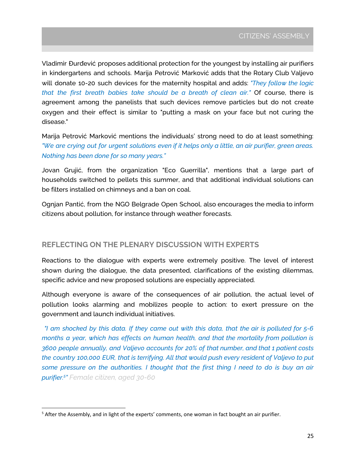Vladimir Đurđević proposes additional protection for the youngest by installing air purifiers in kindergartens and schools. Marija Petrović Marković adds that the Rotary Club Valjevo will donate 10-20 such devices for the maternity hospital and adds: *"They follow the logic that the first breath babies take should be a breath of clean air."* Of course, there is agreement among the panelists that such devices remove particles but do not create oxygen and their effect is similar to "putting a mask on your face but not curing the disease."

Marija Petrović Marković mentions the individuals' strong need to do at least something: "We are crying out for urgent solutions even if it helps only a little, an air purifier, green areas. *Nothing has been done for so many years."*

Jovan Grujić, from the organization "Eco Guerrilla", mentions that a large part of households switched to pellets this summer, and that additional individual solutions can be filters installed on chimneys and a ban on coal.

Ognjan Pantić, from the NGO Belgrade Open School, also encourages the media to inform citizens about pollution, for instance through weather forecasts.

#### **REFLECTING ON THE PLENARY DISCUSSION WITH EXPERTS**

Reactions to the dialogue with experts were extremely positive. The level of interest shown during the dialogue, the data presented, clarifications of the existing dilemmas, specific advice and new proposed solutions are especially appreciated.

Although everyone is aware of the consequences of air pollution, the actual level of pollution looks alarming and mobilizes people to action: to exert pressure on the government and launch individual initiatives.

"I am shocked by this data. If they came out with this data, that the air is polluted for  $5-6$ *months a year, which has effects on human health, and that the mortality from pollution is 3600 people annually, and Valjevo accounts for 20% of that number, and that 1 patient costs the country 100,000 EUR, that is terrifying. All that would push every resident of Valjevo to put some pressure on the authorities. I thought that the first thing I need to do is buy an air purifier. 5 " Female citizen, aged 30-60*

<sup>5</sup> After the Assembly, and in light of the experts' comments, one woman in fact bought an air purifier.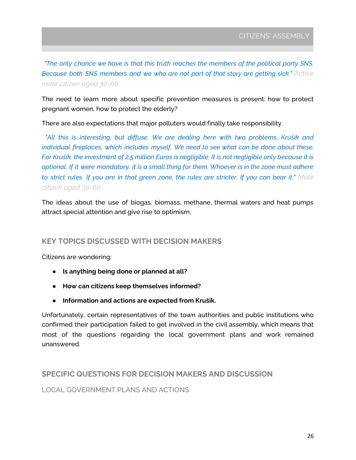*"The only chance we have is that this truth reaches the members of the political party SNS. Because both SNS members and we who are not part of that story are getting sick." Active male citizen aged 30-60*

The need to learn more about specific prevention measures is present: how to protect pregnant women, how to protect the elderly?

There are also expectations that major polluters would finally take responsibility.

*"All this is interesting, but diffuse. We are dealing here with two problems, Krušik and individual fireplaces, which includes myself. We need to see what can be done about these.* For Krušik, the investment of 2,5 million Euros is negligible. It is not negligible only because it is optional. If it were mandatory, it is a small thing for them. Whoever is in the zone must adhere to strict rules. If you are in that green zone, the rules are stricter. If you can bear it." Male *citizen aged 30-60*

The ideas about the use of biogas, biomass, methane, thermal waters and heat pumps attract special attention and give rise to optimism.

#### **KEY TOPICS DISCUSSED WITH DECISION MAKERS**

Citizens are wondering:

- **● Is anything being done or planned at all?**
- **● How can citizens keep themselves informed?**
- **● Information and actions are expected from Krušik.**

Unfortunately, certain representatives of the town authorities and public institutions who confirmed their participation failed to get involved in the civil assembly, which means that most of the questions regarding the local government plans and work remained unanswered.

#### **SPECIFIC QUESTIONS FOR DECISION MAKERS AND DISCUSSION**

LOCAL GOVERNMENT PLANS AND ACTIONS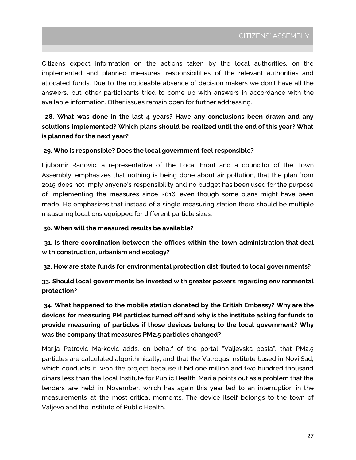Citizens expect information on the actions taken by the local authorities, on the implemented and planned measures, responsibilities of the relevant authorities and allocated funds. Due to the noticeable absence of decision makers we don't have all the answers, but other participants tried to come up with answers in accordance with the available information. Other issues remain open for further addressing.

**28. What was done in the last 4 years? Have any conclusions been drawn and any solutions implemented? Which plans should be realized until the end of this year? What is planned for the next year?**

#### **29. Who is responsible? Does the local government feel responsible?**

Ljubomir Radović, a representative of the Local Front and a councilor of the Town Assembly, emphasizes that nothing is being done about air pollution, that the plan from 2015 does not imply anyone's responsibility and no budget has been used for the purpose of implementing the measures since 2016, even though some plans might have been made. He emphasizes that instead of a single measuring station there should be multiple measuring locations equipped for different particle sizes.

#### **30. When will the measured results be available?**

**31. Is there coordination between the offices within the town administration that deal with construction, urbanism and ecology?**

**32. How are state funds for environmental protection distributed to local governments?**

**33. Should local governments be invested with greater powers regarding environmental protection?**

**34. What happened to the mobile station donated by the British Embassy? Why are the devices for measuring PM particles turned off and why is the institute asking for funds to provide measuring of particles if those devices belong to the local government? Why was the company that measures PM2.5 particles changed?**

Marija Petrović Marković adds, on behalf of the portal "Valjevska posla", that PM2.5 particles are calculated algorithmically, and that the Vatrogas Institute based in Novi Sad, which conducts it, won the project because it bid one million and two hundred thousand dinars less than the local Institute for Public Health. Marija points out as a problem that the tenders are held in November, which has again this year led to an interruption in the measurements at the most critical moments. The device itself belongs to the town of Valjevo and the Institute of Public Health.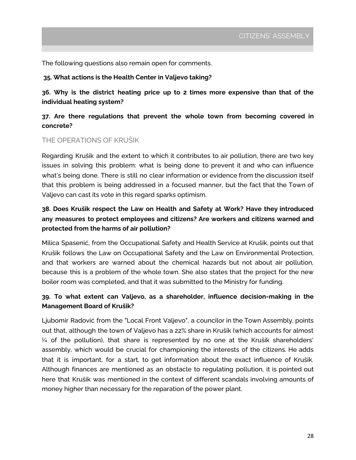The following questions also remain open for comments.

#### **35. What actions is the Health Center in Valjevo taking?**

**36. Why is the district heating price up to 2 times more expensive than that of the individual heating system?**

#### **37. Are there regulations that prevent the whole town from becoming covered in concrete?**

#### THE OPERATIONS OF KRUŠIK

Regarding Krušik and the extent to which it contributes to air pollution, there are two key issues in solving this problem: what is being done to prevent it and who can influence what's being done. There is still no clear information or evidence from the discussion itself that this problem is being addressed in a focused manner, but the fact that the Town of Valjevo can cast its vote in this regard sparks optimism.

#### **38. Does Krušik respect the Law on Health and Safety at Work? Have they introduced any measures to protect employees and citizens? Are workers and citizens warned and protected from the harms of air pollution?**

Milica Spasenić, from the Occupational Safety and Health Service at Krušik, points out that Krušik follows the Law on Occupational Safety and the Law on Environmental Protection, and that workers are warned about the chemical hazards but not about air pollution, because this is a problem of the whole town. She also states that the project for the new boiler room was completed, and that it was submitted to the Ministry for funding.

#### **39. To what extent can Valjevo, as a shareholder, influence decision-making in the Management Board of Krušik?**

Ljubomir Radović from the "Local Front Valjevo", a councilor in the Town Assembly, points out that, although the town of Valjevo has a 22% share in Krušik (which accounts for almost ¼ of the pollution), that share is represented by no one at the Krušik shareholders' assembly, which would be crucial for championing the interests of the citizens. He adds that it is important, for a start, to get information about the exact influence of Krušik. Although finances are mentioned as an obstacle to regulating pollution, it is pointed out here that Krušik was mentioned in the context of different scandals involving amounts of money higher than necessary for the reparation of the power plant.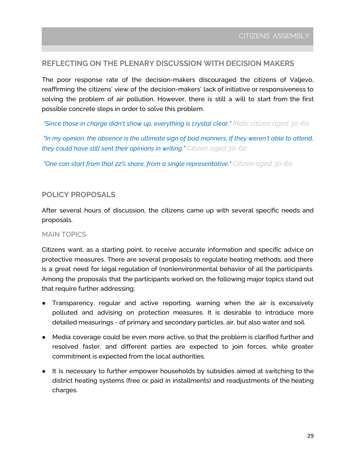#### **REFLECTING ON THE PLENARY DISCUSSION WITH DECISION MAKERS**

The poor response rate of the decision-makers discouraged the citizens of Valjevo, reaffirming the citizens' view of the decision-makers' lack of initiative or responsiveness to solving the problem of air pollution. However, there is still a will to start from the first possible concrete steps in order to solve this problem.

*"Since those in charge didn't show up, everything is crystal clear." Male citizen aged 30-60*

*"In my opinion, the absence is the ultimate sign of bad manners. If they weren't able to attend, they could have still sent their opinions in writing." Citizen aged 30-60*

*"One can start from that 22% share, from a single representative." Citizen aged 30-60*

#### **POLICY PROPOSALS**

After several hours of discussion, the citizens came up with several specific needs and proposals.

#### MAIN TOPICS

Citizens want, as a starting point, to receive accurate information and specific advice on protective measures. There are several proposals to regulate heating methods, and there is a great need for legal regulation of (non)environmental behavior of all the participants. Among the proposals that the participants worked on, the following major topics stand out that require further addressing:

- Transparency, regular and active reporting, warning when the air is excessively polluted and advising on protection measures. It is desirable to introduce more detailed measurings - of primary and secondary particles, air, but also water and soil.
- Media coverage could be even more active, so that the problem is clarified further and resolved faster, and different parties are expected to join forces, while greater commitment is expected from the local authorities.
- It is necessary to further empower households by subsidies aimed at switching to the district heating systems (free or paid in installments) and readjustments of the heating charges.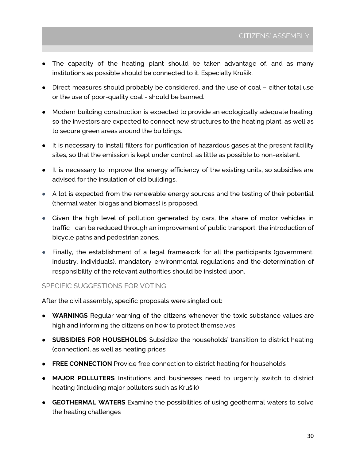- The capacity of the heating plant should be taken advantage of, and as many institutions as possible should be connected to it. Especially Krušik.
- Direct measures should probably be considered, and the use of coal either total use or the use of poor-quality coal - should be banned.
- Modern building construction is expected to provide an ecologically adequate heating, so the investors are expected to connect new structures to the heating plant, as well as to secure green areas around the buildings.
- It is necessary to install filters for purification of hazardous gases at the present facility sites, so that the emission is kept under control, as little as possible to non-existent.
- It is necessary to improve the energy efficiency of the existing units, so subsidies are advised for the insulation of old buildings.
- A lot is expected from the renewable energy sources and the testing of their potential (thermal water, biogas and biomass) is proposed.
- Given the high level of pollution generated by cars, the share of motor vehicles in traffic can be reduced through an improvement of public transport, the introduction of bicycle paths and pedestrian zones.
- Finally, the establishment of a legal framework for all the participants (government, industry, individuals), mandatory environmental regulations and the determination of responsibility of the relevant authorities should be insisted upon.

#### SPECIFIC SUGGESTIONS FOR VOTING

After the civil assembly, specific proposals were singled out:

- **WARNINGS** Regular warning of the citizens whenever the toxic substance values are high and informing the citizens on how to protect themselves
- **SUBSIDIES FOR HOUSEHOLDS** Subsidize the households' transition to district heating (connection), as well as heating prices
- **FREE CONNECTION** Provide free connection to district heating for households
- **MAJOR POLLUTERS** Institutions and businesses need to urgently switch to district heating (including major polluters such as Krušik)
- **GEOTHERMAL WATERS** Examine the possibilities of using geothermal waters to solve the heating challenges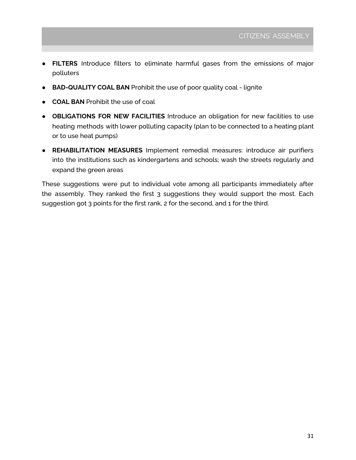- **FILTERS** Introduce filters to eliminate harmful gases from the emissions of major polluters
- **BAD-QUALITY COAL BAN** Prohibit the use of poor quality coal lignite
- **COAL BAN** Prohibit the use of coal
- **OBLIGATIONS FOR NEW FACILITIES** Introduce an obligation for new facilities to use heating methods with lower polluting capacity (plan to be connected to a heating plant or to use heat pumps)
- **REHABILITATION MEASURES** Implement remedial measures: introduce air purifiers into the institutions such as kindergartens and schools; wash the streets regularly and expand the green areas

These suggestions were put to individual vote among all participants immediately after the assembly. They ranked the first 3 suggestions they would support the most. Each suggestion got 3 points for the first rank, 2 for the second, and 1 for the third.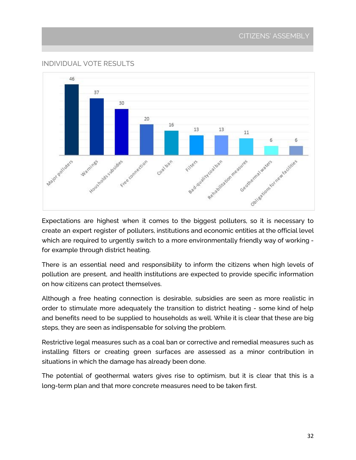#### CITIZENS' ASSEMBLY

#### INDIVIDUAL VOTE RESULTS



<span id="page-31-0"></span>Expectations are highest when it comes to the biggest polluters, so it is necessary to create an expert register of polluters, institutions and economic entities at the official level which are required to urgently switch to a more environmentally friendly way of working for example through district heating.

There is an essential need and responsibility to inform the citizens when high levels of pollution are present, and health institutions are expected to provide specific information on how citizens can protect themselves.

Although a free heating connection is desirable, subsidies are seen as more realistic in order to stimulate more adequately the transition to district heating - some kind of help and benefits need to be supplied to households as well. While it is clear that these are big steps, they are seen as indispensable for solving the problem.

Restrictive legal measures such as a coal ban or corrective and remedial measures such as installing filters or creating green surfaces are assessed as a minor contribution in situations in which the damage has already been done.

The potential of geothermal waters gives rise to optimism, but it is clear that this is a long-term plan and that more concrete measures need to be taken first.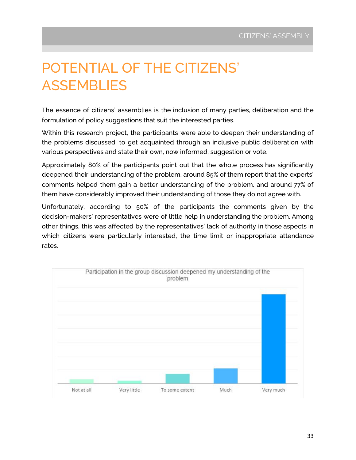# POTENTIAL OF THE CITIZENS' **ASSEMBLIES**

The essence of citizens' assemblies is the inclusion of many parties, deliberation and the formulation of policy suggestions that suit the interested parties.

Within this research project, the participants were able to deepen their understanding of the problems discussed, to get acquainted through an inclusive public deliberation with various perspectives and state their own, now informed, suggestion or vote.

Approximately 80% of the participants point out that the whole process has significantly deepened their understanding of the problem, around 85% of them report that the experts' comments helped them gain a better understanding of the problem, and around 77% of them have considerably improved their understanding of those they do not agree with.

Unfortunately, according to 50% of the participants the comments given by the decision-makers' representatives were of little help in understanding the problem. Among other things, this was affected by the representatives' lack of authority in those aspects in which citizens were particularly interested, the time limit or inappropriate attendance rates.

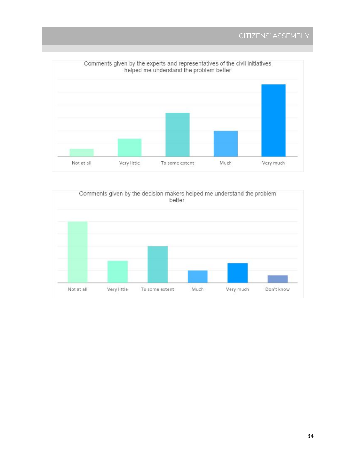

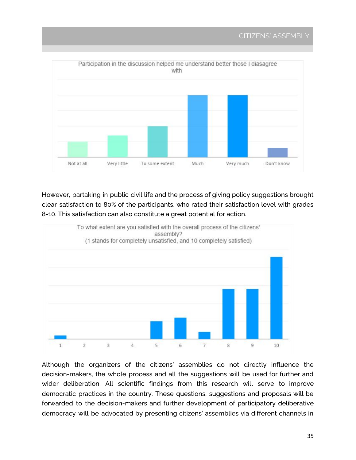

However, partaking in public civil life and the process of giving policy suggestions brought clear satisfaction to 80% of the participants, who rated their satisfaction level with grades 8-10. This satisfaction can also constitute a great potential for action.



Although the organizers of the citizens' assemblies do not directly influence the decision-makers, the whole process and all the suggestions will be used for further and wider deliberation. All scientific findings from this research will serve to improve democratic practices in the country. These questions, suggestions and proposals will be forwarded to the decision-makers and further development of participatory deliberative democracy will be advocated by presenting citizens' assemblies via different channels in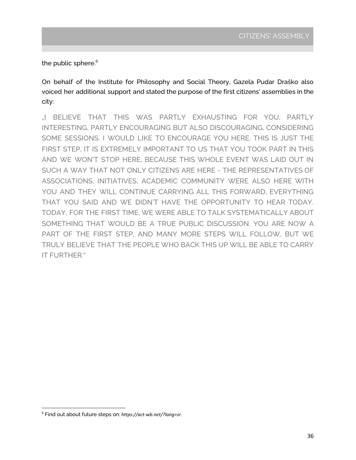the public sphere. 6

On behalf of the Institute for Philosophy and Social Theory, Gazela Pudar Draško also voiced her additional support and stated the purpose of the first citizens' assemblies in the city:

"I BELIEVE THAT THIS WAS PARTLY EXHAUSTING FOR YOU, PARTLY INTERESTING, PARTLY ENCOURAGING BUT ALSO DISCOURAGING, CONSIDERING SOME SESSIONS. I WOULD LIKE TO ENCOURAGE YOU HERE, THIS IS JUST THE FIRST STEP, IT IS EXTREMELY IMPORTANT TO US THAT YOU TOOK PART IN THIS AND WE WON'T STOP HERE, BECAUSE THIS WHOLE EVENT WAS LAID OUT IN SUCH A WAY THAT NOT ONLY CITIZENS ARE HERE - THE REPRESENTATIVES OF ASSOCIATIONS, INITIATIVES, ACADEMIC COMMUNITY WERE ALSO HERE WITH YOU AND THEY WILL CONTINUE CARRYING ALL THIS FORWARD, EVERYTHING THAT YOU SAID AND WE DIDN'T HAVE THE OPPORTUNITY TO HEAR TODAY. TODAY, FOR THE FIRST TIME, WE WERE ABLE TO TALK SYSTEMATICALLY ABOUT SOMETHING THAT WOULD BE A TRUE PUBLIC DISCUSSION. YOU ARE NOW A PART OF THE FIRST STEP, AND MANY MORE STEPS WILL FOLLOW, BUT WE TRULY BELIEVE THAT THE PEOPLE WHO BACK THIS UP WILL BE ABLE TO CARRY IT FURTHER."

<sup>6</sup> Find out about future steps on: *https://act-wb.net/?lang=sr*.